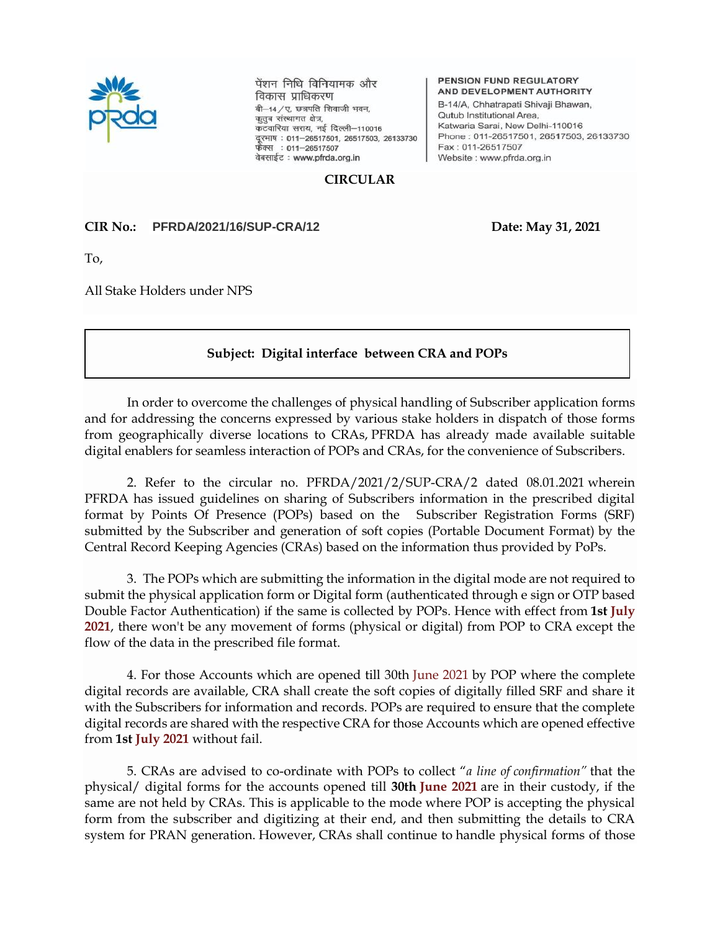

पेंशन निधि विनियामक और विकास प्राधिकरण बी-14/ए. छत्रपति शिवाजी भवन, कुतुब संस्थागत क्षेत्र, कटवारिया सराय, नई दिल्ली-110016 दूरमाषः 011–26517501, 26517503, 26133730<br>फेक्स : 011–26517507 वेबसाईट: www.pfrda.org.in

PENSION FUND REGULATORY AND DEVELOPMENT AUTHORITY B-14/A, Chhatrapati Shivaji Bhawan, Qutub Institutional Area, Katwaria Sarai, New Delhi-110016 Phone: 011-26517501, 26517503, 26133730 Fax: 011-26517507 Website : www.pfrda.org.in

## **CIRCULAR**

## **CIR No.: PFRDA/2021/16/SUP-CRA/12 Date: May 31, 2021**

To,

All Stake Holders under NPS

## **Subject: Digital interface between CRA and POPs**

In order to overcome the challenges of physical handling of Subscriber application forms and for addressing the concerns expressed by various stake holders in dispatch of those forms from geographically diverse locations to CRAs, PFRDA has already made available suitable digital enablers for seamless interaction of POPs and CRAs, for the convenience of Subscribers.

2. Refer to the circular no. PFRDA/2021/2/SUP-CRA/2 dated 08.01.2021 wherein PFRDA has issued guidelines on sharing of Subscribers information in the prescribed digital format by Points Of Presence (POPs) based on the Subscriber Registration Forms (SRF) submitted by the Subscriber and generation of soft copies (Portable Document Format) by the Central Record Keeping Agencies (CRAs) based on the information thus provided by PoPs.

3. The POPs which are submitting the information in the digital mode are not required to submit the physical application form or Digital form (authenticated through e sign or OTP based Double Factor Authentication) if the same is collected by POPs. Hence with effect from **1st July 2021**, there won't be any movement of forms (physical or digital) from POP to CRA except the flow of the data in the prescribed file format.

4. For those Accounts which are opened till 30th June 2021 by POP where the complete digital records are available, CRA shall create the soft copies of digitally filled SRF and share it with the Subscribers for information and records. POPs are required to ensure that the complete digital records are shared with the respective CRA for those Accounts which are opened effective from **1st July 2021** without fail.

5. CRAs are advised to co-ordinate with POPs to collect "*a line of confirmation"* that the physical/ digital forms for the accounts opened till **30th June 2021** are in their custody, if the same are not held by CRAs. This is applicable to the mode where POP is accepting the physical form from the subscriber and digitizing at their end, and then submitting the details to CRA system for PRAN generation. However, CRAs shall continue to handle physical forms of those